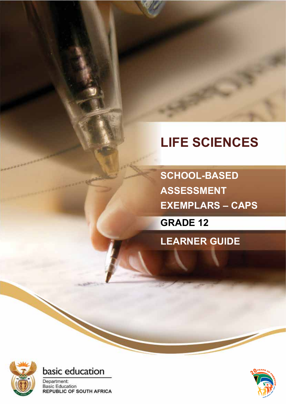# **LIFE SCIENCES**

**SCHOOL-BASED ASSESSMENT EXEMPLARS – CAPS**

**GRADE 12**

**LEARNER GUIDE**





Department: **Basic Education REPUBLIC OF SOUTH AFRICA** 

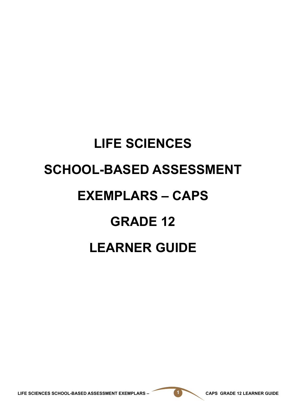# **LIFE SCIENCES SCHOOL-BASED ASSESSMENT EXEMPLARS – CAPS GRADE 12 LEARNER GUIDE**

LIFE SCIENCES SCHOOL-BASED ASSESSMENT EXEMPLARS – **1 CAPS GRADE 12 LEARNER GUIDE**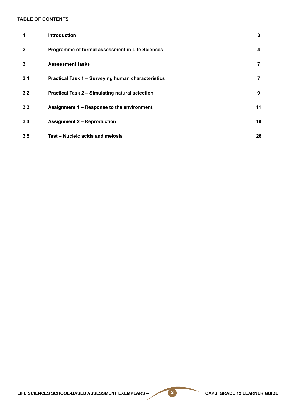#### **TABLE OF CONTENTS**

| 1.  | <b>Introduction</b>                                       | 3                       |
|-----|-----------------------------------------------------------|-------------------------|
| 2.  | Programme of formal assessment in Life Sciences           | $\overline{\mathbf{4}}$ |
| 3.  | <b>Assessment tasks</b>                                   | 7                       |
| 3.1 | <b>Practical Task 1 - Surveying human characteristics</b> | 7                       |
| 3.2 | <b>Practical Task 2 - Simulating natural selection</b>    | 9                       |
| 3.3 | Assignment 1 - Response to the environment                | 11                      |
| 3.4 | <b>Assignment 2 - Reproduction</b>                        | 19                      |
| 3.5 | Test - Nucleic acids and meiosis                          | 26                      |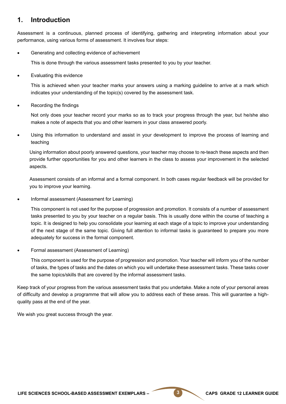## **1. Introduction**

Assessment is a continuous, planned process of identifying, gathering and interpreting information about your performance, using various forms of assessment. It involves four steps:

Generating and collecting evidence of achievement

This is done through the various assessment tasks presented to you by your teacher.

Evaluating this evidence

This is achieved when your teacher marks your answers using a marking guideline to arrive at a mark which indicates your understanding of the topic(s) covered by the assessment task.

Recording the findings

Not only does your teacher record your marks so as to track your progress through the year, but he/she also makes a note of aspects that you and other learners in your class answered poorly.

Using this information to understand and assist in your development to improve the process of learning and teaching

Using information about poorly answered questions, your teacher may choose to re-teach these aspects and then provide further opportunities for you and other learners in the class to assess your improvement in the selected aspects.

Assessment consists of an informal and a formal component. In both cases regular feedback will be provided for you to improve your learning.

Informal assessment (Assessment for Learning)

This component is not used for the purpose of progression and promotion. It consists of a number of assessment tasks presented to you by your teacher on a regular basis. This is usually done within the course of teaching a topic. It is designed to help you consolidate your learning at each stage of a topic to improve your understanding of the next stage of the same topic. Giving full attention to informal tasks is guaranteed to prepare you more adequately for success in the formal component.

Formal assessment (Assessment of Learning)

This component is used for the purpose of progression and promotion. Your teacher will inform you of the number of tasks, the types of tasks and the dates on which you will undertake these assessment tasks. These tasks cover the same topics/skills that are covered by the informal assessment tasks.

Keep track of your progress from the various assessment tasks that you undertake. Make a note of your personal areas of difficulty and develop a programme that will allow you to address each of these areas. This will guarantee a highquality pass at the end of the year.

We wish you great success through the year.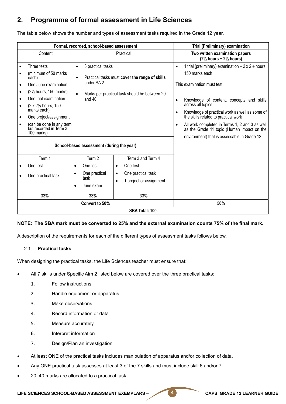# **2. Programme of formal assessment in Life Sciences**

The table below shows the number and types of assessment tasks required in the Grade 12 year.

|                                     | Formal, recorded, school-based assessment                                                                                                                                                                                                                                                                             |                                                                                                                                                                                                                         |                                                                                                                                                                                                                          |                                                  | Trial (Preliminary) examination                                                                                                                                                                                                                                                                                                                                                                                               |  |  |
|-------------------------------------|-----------------------------------------------------------------------------------------------------------------------------------------------------------------------------------------------------------------------------------------------------------------------------------------------------------------------|-------------------------------------------------------------------------------------------------------------------------------------------------------------------------------------------------------------------------|--------------------------------------------------------------------------------------------------------------------------------------------------------------------------------------------------------------------------|--------------------------------------------------|-------------------------------------------------------------------------------------------------------------------------------------------------------------------------------------------------------------------------------------------------------------------------------------------------------------------------------------------------------------------------------------------------------------------------------|--|--|
|                                     | Content                                                                                                                                                                                                                                                                                                               |                                                                                                                                                                                                                         | Practical                                                                                                                                                                                                                |                                                  | Two written examination papers<br>$(2\frac{1}{2}$ hours + $2\frac{1}{2}$ hours)                                                                                                                                                                                                                                                                                                                                               |  |  |
| $\bullet$<br>$\bullet$<br>$\bullet$ | Three tests<br>(minimum of 50 marks<br>each)<br>One June examination<br>$(2\frac{1}{2})$ hours, 150 marks)<br>One trial examination<br>(2 x 21/2 hours, 150<br>marks each)<br>One project/assignment<br>(can be done in any term<br>but recorded in Term 3:<br>100 marks)<br>Term 1<br>One test<br>One practical task | 3 practical tasks<br>$\bullet$<br>$\bullet$<br>under SA 2.<br>and $40.$<br>School-based assessment (during the year)<br>Term 2<br>One test<br>$\bullet$<br>One practical<br>$\bullet$<br>task<br>June exam<br>$\bullet$ | Practical tasks must cover the range of skills<br>Marks per practical task should be between 20<br>Term 3 and Term 4<br>One test<br>$\bullet$<br>One practical task<br>$\bullet$<br>1 project or assignment<br>$\bullet$ | $\bullet$<br>$\bullet$<br>$\bullet$<br>$\bullet$ | 1 trial (preliminary) examination $-2 \times 2\frac{1}{2}$ hours,<br>150 marks each<br>This examination must test:<br>Knowledge of content, concepts and skills<br>across all topics<br>Knowledge of practical work as well as some of<br>the skills related to practical work<br>All work completed in Terms 1, 2 and 3 as well<br>as the Grade 11 topic (Human impact on the<br>environment) that is assessable in Grade 12 |  |  |
|                                     | 33%                                                                                                                                                                                                                                                                                                                   | 33%                                                                                                                                                                                                                     | 33%                                                                                                                                                                                                                      |                                                  |                                                                                                                                                                                                                                                                                                                                                                                                                               |  |  |
|                                     |                                                                                                                                                                                                                                                                                                                       | Convert to 50%                                                                                                                                                                                                          |                                                                                                                                                                                                                          |                                                  | 50%                                                                                                                                                                                                                                                                                                                                                                                                                           |  |  |
|                                     |                                                                                                                                                                                                                                                                                                                       |                                                                                                                                                                                                                         | SBA Total: 100                                                                                                                                                                                                           |                                                  |                                                                                                                                                                                                                                                                                                                                                                                                                               |  |  |

#### **NOTE: The SBA mark must be converted to 25% and the external examination counts 75% of the final mark.**

A description of the requirements for each of the different types of assessment tasks follows below.

#### 2.1 **Practical tasks**

When designing the practical tasks, the Life Sciences teacher must ensure that:

- All 7 skills under Specific Aim 2 listed below are covered over the three practical tasks:
	- 1. Follow instructions
	- 2. Handle equipment or apparatus
	- 3. Make observations
	- 4. Record information or data
	- 5. Measure accurately
	- 6. Interpret information
	- 7. Design/Plan an investigation
- At least ONE of the practical tasks includes manipulation of apparatus and/or collection of data.
- Any ONE practical task assesses at least 3 of the 7 skills and must include skill 6 and/or 7.
- 20–40 marks are allocated to a practical task.

LIFE SCIENCES SCHOOL-BASED ASSESSMENT EXEMPLARS – **4 CAPS GRADE 12 LEARNER GUIDE**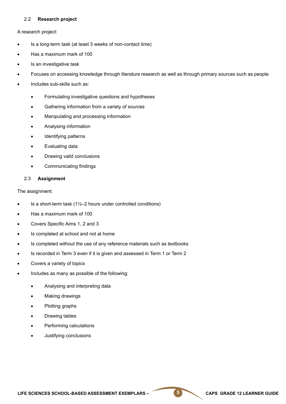#### 2.2 **Research project**

A research project:

- Is a long-term task (at least 3 weeks of non-contact time)
- Has a maximum mark of 100
- Is an investigative task
- Focuses on accessing knowledge through literature research as well as through primary sources such as people
- Includes sub-skills such as:
	- Formulating investigative questions and hypotheses
	- Gathering information from a variety of sources
	- Manipulating and processing information
	- Analysing information
	- Identifying patterns
	- **Evaluating data**
	- Drawing valid conclusions
	- • Communicating findings

#### 2.3 **Assignment**

The assignment:

- Is a short-term task  $(1\frac{1}{2}-2$  hours under controlled conditions)
- Has a maximum mark of 100
- Covers Specific Aims 1, 2 and 3
- Is completed at school and not at home
- Is completed without the use of any reference materials such as textbooks
- Is recorded in Term 3 even if it is given and assessed in Term 1 or Term 2
- Covers a variety of topics
- Includes as many as possible of the following:
	- Analysing and interpreting data
	- **Making drawings**
	- Plotting graphs
	- Drawing tables
	- Performing calculations
	- Justifying conclusions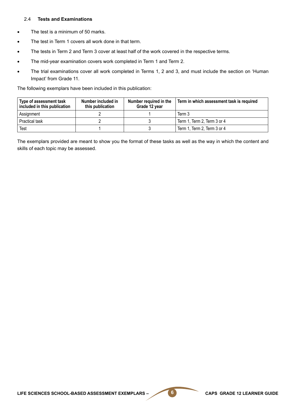#### 2.4 **Tests and Examinations**

- The test is a minimum of 50 marks.
- The test in Term 1 covers all work done in that term.
- The tests in Term 2 and Term 3 cover at least half of the work covered in the respective terms.
- The mid-year examination covers work completed in Term 1 and Term 2.
- The trial examinations cover all work completed in Terms 1, 2 and 3, and must include the section on 'Human Impact' from Grade 11.

The following exemplars have been included in this publication:

| Type of assessment task<br>included in this publication | Number included in<br>this publication | Number required in the<br>Grade 12 year | Term in which assessment task is required |
|---------------------------------------------------------|----------------------------------------|-----------------------------------------|-------------------------------------------|
| Assignment                                              |                                        |                                         | Term 3                                    |
| Practical task                                          |                                        |                                         | Term 1, Term 2, Term 3 or 4               |
| Test                                                    |                                        |                                         | Term 1, Term 2, Term 3 or 4               |

The exemplars provided are meant to show you the format of these tasks as well as the way in which the content and skills of each topic may be assessed.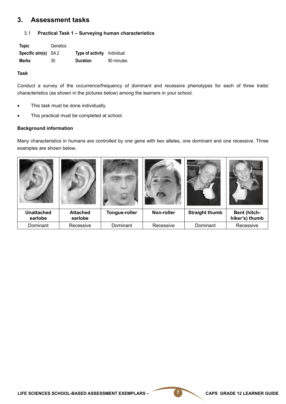### **3. Assessment tasks**

#### 3.1 **Practical Task 1 – Surveying human characteristics**

| Topic                        | Genetics |                                    |            |
|------------------------------|----------|------------------------------------|------------|
| Specific $\text{aim}(s)$ SA2 |          | <b>Type of activity</b> Individual |            |
| Marks                        | 30       | <b>Duration</b>                    | 90 minutes |

#### **Task**

Conduct a survey of the occurrence/frequency of dominant and recessive phenotypes for each of three traits/ characteristics (as shown in the pictures below) among the learners in your school.

- This task must be done individually.
- This practical must be completed at school.

#### **Background information**

Many characteristics in humans are controlled by one gene with two alleles, one dominant and one recessive. Three examples are shown below.

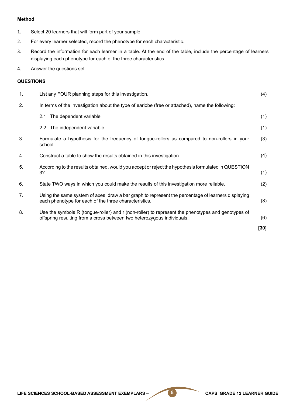#### **Method**

- 1. Select 20 learners that will form part of your sample.
- 2. For every learner selected, record the phenotype for each characteristic.
- 3. Record the information for each learner in a table. At the end of the table, include the percentage of learners displaying each phenotype for each of the three characteristics.
- 4. Answer the questions set.

#### **QUESTIONS**

| $\mathbf 1$ . | List any FOUR planning steps for this investigation.                                                                                                                        | (4)  |
|---------------|-----------------------------------------------------------------------------------------------------------------------------------------------------------------------------|------|
| 2.            | In terms of the investigation about the type of earlobe (free or attached), name the following:                                                                             |      |
|               | The dependent variable<br>2.1                                                                                                                                               | (1)  |
|               | 2.2 The independent variable                                                                                                                                                | (1)  |
| 3.            | Formulate a hypothesis for the frequency of tongue-rollers as compared to non-rollers in your<br>school.                                                                    | (3)  |
| 4.            | Construct a table to show the results obtained in this investigation.                                                                                                       | (4)  |
| 5.            | According to the results obtained, would you accept or reject the hypothesis formulated in QUESTION<br>3?                                                                   | (1)  |
| 6.            | State TWO ways in which you could make the results of this investigation more reliable.                                                                                     | (2)  |
| 7.            | Using the same system of axes, draw a bar graph to represent the percentage of learners displaying<br>each phenotype for each of the three characteristics.                 | (8)  |
| 8.            | Use the symbols R (tongue-roller) and r (non-roller) to represent the phenotypes and genotypes of<br>offspring resulting from a cross between two heterozygous individuals. | (6)  |
|               |                                                                                                                                                                             | [30] |
|               |                                                                                                                                                                             |      |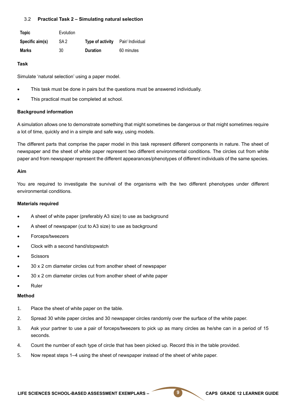#### 3.2 **Practical Task 2 – Simulating natural selection**

| <b>Topic</b>    | Evolution       |                  |                  |
|-----------------|-----------------|------------------|------------------|
| Specific aim(s) | SA <sub>2</sub> | Type of activity | Pair/ Individual |
| Marks           | 30              | <b>Duration</b>  | 60 minutes       |

#### **Task**

Simulate 'natural selection' using a paper model.

- This task must be done in pairs but the questions must be answered individually.
- This practical must be completed at school.

#### **Background information**

A simulation allows one to demonstrate something that might sometimes be dangerous or that might sometimes require a lot of time, quickly and in a simple and safe way, using models.

The different parts that comprise the paper model in this task represent different components in nature. The sheet of newspaper and the sheet of white paper represent two different environmental conditions. The circles cut from white paper and from newspaper represent the different appearances/phenotypes of different individuals of the same species.

#### **Aim**

You are required to investigate the survival of the organisms with the two different phenotypes under different environmental conditions.

#### **Materials required**

- A sheet of white paper (preferably A3 size) to use as background
- A sheet of newspaper (cut to A3 size) to use as background
- Forceps/tweezers
- Clock with a second hand/stopwatch
- **Scissors**
- 30 x 2 cm diameter circles cut from another sheet of newspaper
- 30 x 2 cm diameter circles cut from another sheet of white paper
- **Ruler**

#### **Method**

- 1. Place the sheet of white paper on the table.
- 2. Spread 30 white paper circles and 30 newspaper circles randomly over the surface of the white paper.
- 3. Ask your partner to use a pair of forceps/tweezers to pick up as many circles as he/she can in a period of 15 seconds.
- 4. Count the number of each type of circle that has been picked up. Record this in the table provided.
- 5. Now repeat steps 1–4 using the sheet of newspaper instead of the sheet of white paper.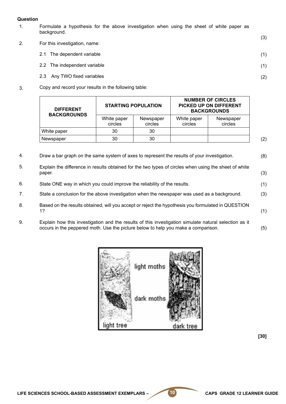#### **Question**

- 1. Formulate a hypothesis for the above investigation when using the sheet of white paper as background.
- 2. For this investigation, name:
	- 2.1 The dependent variable
	- 2.2 The independent variable
	- 2.3 Any TWO fixed variables
- 3. Copy and record your results in the following table:

| <b>DIFFERENT</b><br><b>BACKGROUNDS</b> |                        | <b>STARTING POPULATION</b> | <b>NUMBER OF CIRCLES</b><br>PICKED UP ON DIFFERENT<br><b>BACKGROUNDS</b> |                      |  |
|----------------------------------------|------------------------|----------------------------|--------------------------------------------------------------------------|----------------------|--|
|                                        | White paper<br>circles | Newspaper<br>circles       | White paper<br>circles                                                   | Newspaper<br>circles |  |
| White paper                            | 30                     | 30                         |                                                                          |                      |  |
| Newspaper                              | 30                     | 30                         |                                                                          |                      |  |

- 4. Draw a bar graph on the same system of axes to represent the results of your investigation.
- 5. Explain the difference in results obtained for the two types of circles when using the sheet of white paper. (3)
- 6. State ONE way in which you could improve the reliability of the results.
- 7. State a conclusion for the above investigation when the newspaper was used as a background.
- 8. Based on the results obtained, will you accept or reject the hypothesis you formulated in QUESTION 1? (1)
- 9. Explain how this investigation and the results of this investigation simulate natural selection as it occurs in the peppered moth. Use the picture below to help you make a comparison. (5)



**[30]**

(3)

(1)

(1)

(2)

(8)

(1)

(3)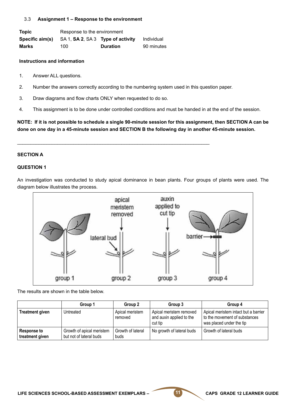#### 3.3 **Assignment 1 – Response to the environment**

**Topic** Response to the environment **Specific aim(s)** SA 1, **SA 2**, SA 3 **Type of activity** Individual **Marks** 100 **Duration** 90 minutes

#### **Instructions and information**

- 1. Answer ALL questions.
- 2. Number the answers correctly according to the numbering system used in this question paper.

\_\_\_\_\_\_\_\_\_\_\_\_\_\_\_\_\_\_\_\_\_\_\_\_\_\_\_\_\_\_\_\_\_\_\_\_\_\_\_\_\_\_\_\_\_\_\_\_\_\_\_\_\_\_\_\_\_\_\_\_\_\_\_\_\_\_\_\_\_\_\_\_

- 3. Draw diagrams and flow charts ONLY when requested to do so.
- 4. This assignment is to be done under controlled conditions and must be handed in at the end of the session.

**NOTE: If it is not possible to schedule a single 90-minute session for this assignment, then SECTION A can be done on one day in a 45-minute session and SECTION B the following day in another 45-minute session.**

#### **SECTION A**

#### **QUESTION 1**

An investigation was conducted to study apical dominance in bean plants. Four groups of plants were used. The diagram below illustrates the process.



The results are shown in the table below.

|                                       | Group 1                                              | Group 2                    | Group 3                                                        | Group 4                                                                                           |
|---------------------------------------|------------------------------------------------------|----------------------------|----------------------------------------------------------------|---------------------------------------------------------------------------------------------------|
| <b>Treatment given</b>                | Untreated                                            | Apical meristem<br>removed | Apical meristem removed<br>and auxin applied to the<br>cut tip | Apical meristem intact but a barrier<br>to the movement of substances<br>was placed under the tip |
| <b>Response to</b><br>treatment given | Growth of apical meristem<br>but not of lateral buds | Growth of lateral<br>buds  | No growth of lateral buds                                      | Growth of lateral buds                                                                            |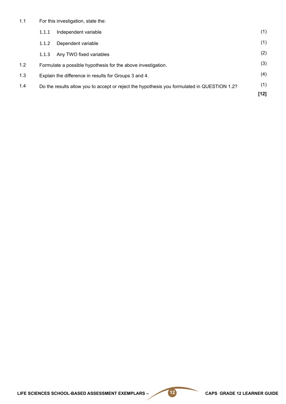1.1 For this investigation, state the:

|     | 1.1.1 | Independent variable                                                                        | (1)    |
|-----|-------|---------------------------------------------------------------------------------------------|--------|
|     | 1.1.2 | Dependent variable                                                                          | (1)    |
|     | 1.1.3 | Any TWO fixed variables                                                                     | (2)    |
| 1.2 |       | Formulate a possible hypothesis for the above investigation.                                | (3)    |
| 1.3 |       | Explain the difference in results for Groups 3 and 4.                                       | (4)    |
| 1.4 |       | Do the results allow you to accept or reject the hypothesis you formulated in QUESTION 1.2? | (1)    |
|     |       |                                                                                             | $[12]$ |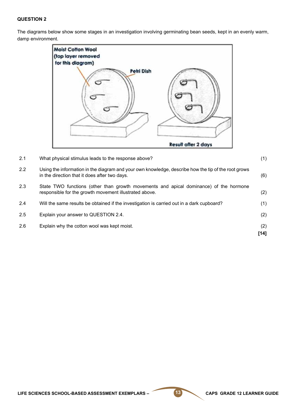The diagrams below show some stages in an investigation involving germinating bean seeds, kept in an evenly warm, damp environment.



| 2.1 | What physical stimulus leads to the response above?                                                                                                  | (1)           |
|-----|------------------------------------------------------------------------------------------------------------------------------------------------------|---------------|
| 2.2 | Using the information in the diagram and your own knowledge, describe how the tip of the root grows<br>in the direction that it does after two days. | (6)           |
| 2.3 | State TWO functions (other than growth movements and apical dominance) of the hormone<br>responsible for the growth movement illustrated above.      | (2)           |
| 2.4 | Will the same results be obtained if the investigation is carried out in a dark cupboard?                                                            | (1)           |
| 2.5 | Explain your answer to QUESTION 2.4.                                                                                                                 | (2)           |
| 2.6 | Explain why the cotton wool was kept moist.                                                                                                          | (2)<br>$[14]$ |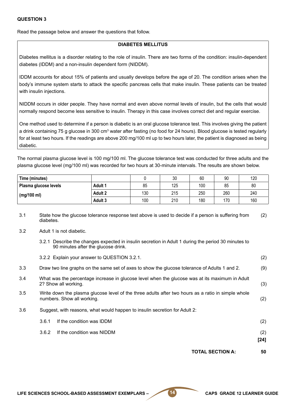Read the passage below and answer the questions that follow.

#### **DIABETES MELLITUS**

Diabetes mellitus is a disorder relating to the role of insulin. There are two forms of the condition: insulin-dependent diabetes (IDDM) and a non-insulin dependent form (NIDDM).

IDDM accounts for about 15% of patients and usually develops before the age of 20. The condition arises when the body's immune system starts to attack the specific pancreas cells that make insulin. These patients can be treated with insulin injections.

NIDDM occurs in older people. They have normal and even above normal levels of insulin, but the cells that would normally respond become less sensitive to insulin. Therapy in this case involves correct diet and regular exercise.

One method used to determine if a person is diabetic is an oral glucose tolerance test. This involves giving the patient a drink containing 75 g glucose in 300 cm<sup>3</sup> water after fasting (no food for 24 hours). Blood glucose is tested regularly for at least two hours. If the readings are above 200 mg/100 ml up to two hours later, the patient is diagnosed as being diabetic.

The normal plasma glucose level is 100 mg/100 ml. The glucose tolerance test was conducted for three adults and the plasma glucose level (mg/100 ml) was recorded for two hours at 30-minute intervals. The results are shown below.

| Time (minutes)        |                |     | 30  | 60  | 90  | 120 |
|-----------------------|----------------|-----|-----|-----|-----|-----|
| Plasma glucose levels | <b>Adult 1</b> | 85  | 125 | 100 | 85  | 80  |
| (mg/100 ml)           | Adult 2        | 130 | 215 | 250 | 260 | 240 |
|                       | Adult 3        | 100 | 210 | 180 | 170 | 160 |

- 3.1 State how the glucose tolerance response test above is used to decide if a person is suffering from diabetes. (2)
- 3.2 Adult 1 is not diabetic.
	- 3.2.1 Describe the changes expected in insulin secretion in Adult 1 during the period 30 minutes to 90 minutes after the glucose drink.

|     |       | <b>TOTAL SECTION A:</b>                                                                                                          | 50            |
|-----|-------|----------------------------------------------------------------------------------------------------------------------------------|---------------|
|     | 3.6.2 | If the condition was NIDDM                                                                                                       | (2)<br>$[24]$ |
|     | 3.6.1 | If the condition was IDDM                                                                                                        | (2)           |
| 3.6 |       | Suggest, with reasons, what would happen to insulin secretion for Adult 2:                                                       |               |
| 3.5 |       | Write down the plasma glucose level of the three adults after two hours as a ratio in simple whole<br>numbers. Show all working. | (2)           |
| 3.4 |       | What was the percentage increase in glucose level when the glucose was at its maximum in Adult<br>2? Show all working.           | (3)           |
| 3.3 |       | Draw two line graphs on the same set of axes to show the glucose tolerance of Adults 1 and 2.                                    | (9)           |
|     |       | 3.2.2 Explain your answer to QUESTION 3.2.1.                                                                                     | (2)           |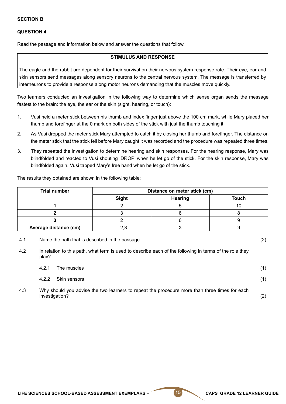4.3

investigation?

Read the passage and information below and answer the questions that follow.

#### **STIMULUS AND RESPONSE**

The eagle and the rabbit are dependent for their survival on their nervous system response rate. Their eye, ear and skin sensors send messages along sensory neurons to the central nervous system. The message is transferred by interneurons to provide a response along motor neurons demanding that the muscles move quickly.

Two learners conducted an investigation in the following way to determine which sense organ sends the message fastest to the brain: the eye, the ear or the skin (sight, hearing, or touch):

- 1. Vusi held a meter stick between his thumb and index finger just above the 100 cm mark, while Mary placed her thumb and forefinger at the 0 mark on both sides of the stick with just the thumb touching it.
- 2. As Vusi dropped the meter stick Mary attempted to catch it by closing her thumb and forefinger. The distance on the meter stick that the stick fell before Mary caught it was recorded and the procedure was repeated three times.
- 3. They repeated the investigation to determine hearing and skin responses. For the hearing response, Mary was blindfolded and reacted to Vusi shouting 'DROP' when he let go of the stick. For the skin response, Mary was blindfolded again. Vusi tapped Mary's free hand when he let go of the stick.

The results they obtained are shown in the following table:

| Trial number          | Distance on meter stick (cm) |                |              |  |  |
|-----------------------|------------------------------|----------------|--------------|--|--|
|                       | <b>Sight</b>                 | <b>Hearing</b> | <b>Touch</b> |  |  |
|                       |                              |                |              |  |  |
|                       |                              |                |              |  |  |
|                       |                              |                |              |  |  |
| Average distance (cm) |                              |                |              |  |  |

4.1 Name the path that is described in the passage. (2)

(2)

4.2 In relation to this path, what term is used to describe each of the following in terms of the role they play?

| 4.2.1 | The muscles                                                                                   |  |
|-------|-----------------------------------------------------------------------------------------------|--|
|       | 4.2.2 Skin sensors                                                                            |  |
|       | Why should you advise the two learners to repeat the procedure more than three times for each |  |

LIFE SCIENCES SCHOOL-BASED ASSESSMENT EXEMPLARS – **15** CAPS GRADE 12 LEARNER GUIDE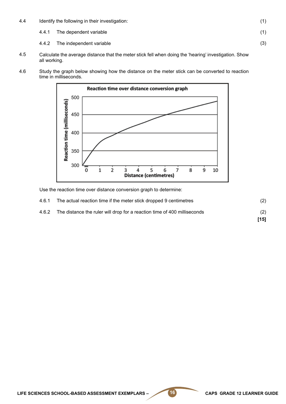| Identify the following in their investigation:<br>4.4 |  |                                |     |
|-------------------------------------------------------|--|--------------------------------|-----|
|                                                       |  | 4.4.1 The dependent variable   |     |
|                                                       |  | 4.4.2 The independent variable | (3) |

- 4.5 Calculate the average distance that the meter stick fell when doing the 'hearing' investigation. Show all working.
- 4.6 Study the graph below showing how the distance on the meter stick can be converted to reaction time in milliseconds.



Use the reaction time over distance conversion graph to determine:

|       |                                                                          | [15] |
|-------|--------------------------------------------------------------------------|------|
| 4.6.2 | The distance the ruler will drop for a reaction time of 400 milliseconds | (2)  |
| 4.6.1 | The actual reaction time if the meter stick dropped 9 centimetres        | (2)  |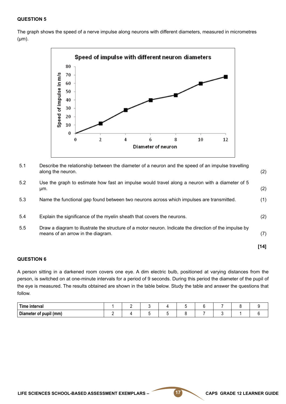The graph shows the speed of a nerve impulse along neurons with different diameters, measured in micrometres (μm).



5.1 Describe the relationship between the diameter of a neuron and the speed of an impulse travelling along the neuron.

| 5.2 | Use the graph to estimate how fast an impulse would travel along a neuron with a diameter of 5<br>µm.                                       | (2)  |
|-----|---------------------------------------------------------------------------------------------------------------------------------------------|------|
| 5.3 | Name the functional gap found between two neurons across which impulses are transmitted.                                                    | (1)  |
| 5.4 | Explain the significance of the myelin sheath that covers the neurons.                                                                      | (2)  |
| 5.5 | Draw a diagram to illustrate the structure of a motor neuron. Indicate the direction of the impulse by<br>means of an arrow in the diagram. | (7)  |
|     |                                                                                                                                             | [14] |

#### **QUESTION 6**

A person sitting in a darkened room covers one eye. A dim electric bulb, positioned at varying distances from the person, is switched on at one-minute intervals for a period of 9 seconds. During this period the diameter of the pupil of the eye is measured. The results obtained are shown in the table below. Study the table and answer the questions that follow.

| Time interval          |  |  |  |  |  |
|------------------------|--|--|--|--|--|
| Diameter of pupil (mm) |  |  |  |  |  |

(2)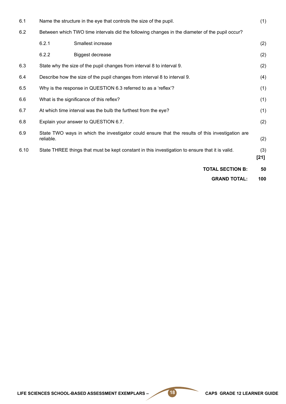| 6.1  |                                          | Name the structure in the eye that controls the size of the pupil.                               | (1)           |
|------|------------------------------------------|--------------------------------------------------------------------------------------------------|---------------|
| 6.2  |                                          | Between which TWO time intervals did the following changes in the diameter of the pupil occur?   |               |
|      | 6.2.1                                    | Smallest increase                                                                                | (2)           |
|      | 6.2.2                                    | <b>Biggest decrease</b>                                                                          | (2)           |
| 6.3  |                                          | State why the size of the pupil changes from interval 8 to interval 9.                           | (2)           |
| 6.4  |                                          | Describe how the size of the pupil changes from interval 8 to interval 9.                        | (4)           |
| 6.5  |                                          | Why is the response in QUESTION 6.3 referred to as a 'reflex'?                                   | (1)           |
| 6.6  | What is the significance of this reflex? |                                                                                                  | (1)           |
| 6.7  |                                          | At which time interval was the bulb the furthest from the eye?                                   | (1)           |
| 6.8  |                                          | Explain your answer to QUESTION 6.7.                                                             | (2)           |
| 6.9  | reliable.                                | State TWO ways in which the investigator could ensure that the results of this investigation are | (2)           |
| 6.10 |                                          | State THREE things that must be kept constant in this investigation to ensure that it is valid.  | (3)<br>$[21]$ |
|      |                                          | <b>TOTAL SECTION B:</b>                                                                          | 50            |
|      |                                          | <b>GRAND TOTAL:</b>                                                                              | 100           |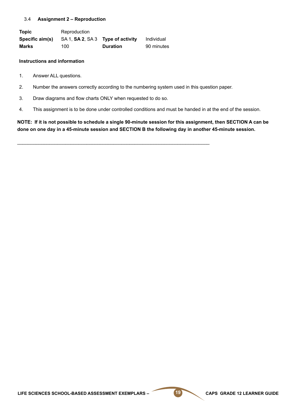#### 3.4 **Assignment 2 – Reproduction**

**Topic** Reproduction **Specific aim(s)** SA 1, **SA 2**, SA 3 **Type of activity** Individual **Marks** 100 **Duration** 90 minutes

#### **Instructions and information**

- 1. Answer ALL questions.
- 2. Number the answers correctly according to the numbering system used in this question paper.

\_\_\_\_\_\_\_\_\_\_\_\_\_\_\_\_\_\_\_\_\_\_\_\_\_\_\_\_\_\_\_\_\_\_\_\_\_\_\_\_\_\_\_\_\_\_\_\_\_\_\_\_\_\_\_\_\_\_\_\_\_\_\_\_\_\_\_\_\_\_\_\_

- 3. Draw diagrams and flow charts ONLY when requested to do so.
- 4. This assignment is to be done under controlled conditions and must be handed in at the end of the session.

**NOTE: If it is not possible to schedule a single 90-minute session for this assignment, then SECTION A can be done on one day in a 45-minute session and SECTION B the following day in another 45-minute session.**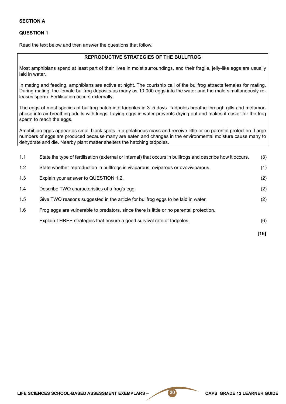Read the text below and then answer the questions that follow.

#### **REPRODUCTIVE STRATEGIES OF THE BULLFROG**

Most amphibians spend at least part of their lives in moist surroundings, and their fragile, jelly-like eggs are usually laid in water.

In mating and feeding, amphibians are active at night. The courtship call of the bullfrog attracts females for mating. During mating, the female bullfrog deposits as many as 10 000 eggs into the water and the male simultaneously releases sperm. Fertilisation occurs externally.

The eggs of most species of bullfrog hatch into tadpoles in 3–5 days. Tadpoles breathe through gills and metamorphose into air-breathing adults with lungs. Laying eggs in water prevents drying out and makes it easier for the frog sperm to reach the eggs.

Amphibian eggs appear as small black spots in a gelatinous mass and receive little or no parental protection. Large numbers of eggs are produced because many are eaten and changes in the environmental moisture cause many to dehydrate and die. Nearby plant matter shelters the hatching tadpoles.

|     |                                                                                                             | $[16]$ |
|-----|-------------------------------------------------------------------------------------------------------------|--------|
|     | Explain THREE strategies that ensure a good survival rate of tadpoles.                                      | (6)    |
| 1.6 | Frog eggs are vulnerable to predators, since there is little or no parental protection.                     |        |
| 1.5 | Give TWO reasons suggested in the article for bullfrog eggs to be laid in water.                            | (2)    |
| 1.4 | Describe TWO characteristics of a frog's egg.                                                               | (2)    |
| 1.3 | Explain your answer to QUESTION 1.2.                                                                        | (2)    |
| 1.2 | State whether reproduction in bullfrogs is viviparous, oviparous or ovoviviparous.                          | (1)    |
| 1.1 | State the type of fertilisation (external or internal) that occurs in bullfrogs and describe how it occurs. | (3)    |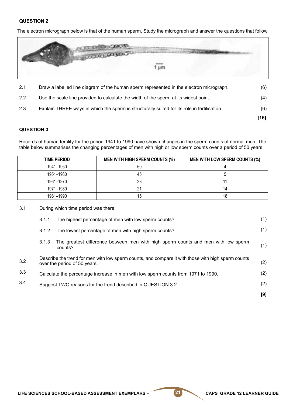The electron micrograph below is that of the human sperm. Study the micrograph and answer the questions that follow.



|     |                                                                                             | $[16]$ |
|-----|---------------------------------------------------------------------------------------------|--------|
| 2.3 | Explain THREE ways in which the sperm is structurally suited for its role in fertilisation. | (6)    |
| 2.2 | Use the scale line provided to calculate the width of the sperm at its widest point.        | (4)    |
| 2.1 | Draw a labelled line diagram of the human sperm represented in the electron micrograph.     | (6)    |

#### **QUESTION 3**

3.2

3.3

3.4

Records of human fertility for the period 1941 to 1990 have shown changes in the sperm counts of normal men. The table below summarises the changing percentages of men with high or low sperm counts over a period of 50 years.

| TIME PERIOD | <b>MEN WITH HIGH SPERM COUNTS (%)</b> | <b>MEN WITH LOW SPERM COUNTS (%)</b> |
|-------------|---------------------------------------|--------------------------------------|
| 1941–1950   | 50                                    |                                      |
| 1951-1960   | 45                                    |                                      |
| 1961–1970   | 28                                    |                                      |
| 1971–1980   | 21                                    |                                      |
| 1981-1990   | 15                                    | 18                                   |

3.1 During which time period was there:

| 3.1.1 | The highest percentage of men with low sperm counts?                                                                               | (1) |
|-------|------------------------------------------------------------------------------------------------------------------------------------|-----|
| 3.1.2 | The lowest percentage of men with high sperm counts?                                                                               | (1) |
| 3.1.3 | The greatest difference between men with high sperm counts and men with low sperm<br>counts?                                       | (1) |
|       | Describe the trend for men with low sperm counts, and compare it with those with high sperm counts<br>over the period of 50 years. | (2) |
|       | Calculate the percentage increase in men with low sperm counts from 1971 to 1990.                                                  | (2) |
|       | Suggest TWO reasons for the trend described in QUESTION 3.2.                                                                       | (2) |
|       |                                                                                                                                    | [9] |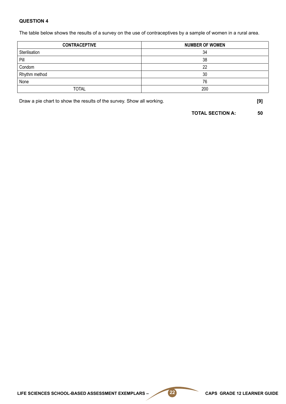The table below shows the results of a survey on the use of contraceptives by a sample of women in a rural area.

| <b>CONTRACEPTIVE</b> | <b>NUMBER OF WOMEN</b> |
|----------------------|------------------------|
| Sterilisation        | 34                     |
| Pill                 | 38                     |
| Condom               | 22                     |
| Rhythm method        | 30                     |
| None                 | 76                     |
| <b>TOTAL</b>         | 200                    |

Draw a pie chart to show the results of the survey. Show all working. **[9]**

**TOTAL SECTION A: 50**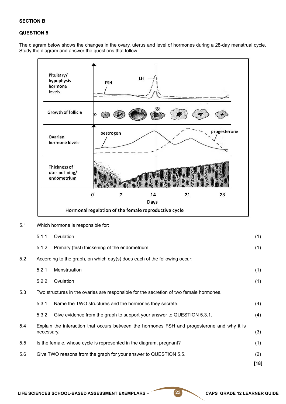#### **SECTION B**

#### **QUESTION 5**

The diagram below shows the changes in the ovary, uterus and level of hormones during a 28-day menstrual cycle. Study the diagram and answer the questions that follow.



5.1 Which hormone is responsible for:

|     | 5.1.1      | Ovulation                                                                                   | (1)  |
|-----|------------|---------------------------------------------------------------------------------------------|------|
|     | 5.1.2      | Primary (first) thickening of the endometrium                                               | (1)  |
| 5.2 |            | According to the graph, on which day(s) does each of the following occur:                   |      |
|     | 5.2.1      | Menstruation                                                                                | (1)  |
|     | 5.2.2      | Ovulation                                                                                   | (1)  |
| 5.3 |            | Two structures in the ovaries are responsible for the secretion of two female hormones.     |      |
|     | 5.3.1      | Name the TWO structures and the hormones they secrete.                                      | (4)  |
|     | 5.3.2      | Give evidence from the graph to support your answer to QUESTION 5.3.1.                      | (4)  |
| 5.4 | necessary. | Explain the interaction that occurs between the hormones FSH and progesterone and why it is | (3)  |
| 5.5 |            | Is the female, whose cycle is represented in the diagram, pregnant?                         | (1)  |
| 5.6 |            | Give TWO reasons from the graph for your answer to QUESTION 5.5.                            | (2)  |
|     |            |                                                                                             | [18] |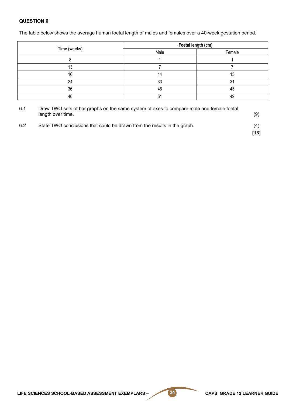The table below shows the average human foetal length of males and females over a 40-week gestation period.

|              | Foetal length (cm) |        |  |
|--------------|--------------------|--------|--|
| Time (weeks) | Male               | Female |  |
|              |                    |        |  |
|              |                    |        |  |
| 16           | 14                 |        |  |
| 24           | 33                 | 31     |  |
| 36           | 46                 | 43     |  |
| 40           | 51                 | 49     |  |

| 6.1 | Draw TWO sets of bar graphs on the same system of axes to compare male and female foetal<br>length over time. | (9)           |
|-----|---------------------------------------------------------------------------------------------------------------|---------------|
| 6.2 | State TWO conclusions that could be drawn from the results in the graph.                                      | (4)<br>$[13]$ |

LIFE SCIENCES SCHOOL-BASED ASSESSMENT EXEMPLARS – 24 CAPS GRADE 12 LEARNER GUIDE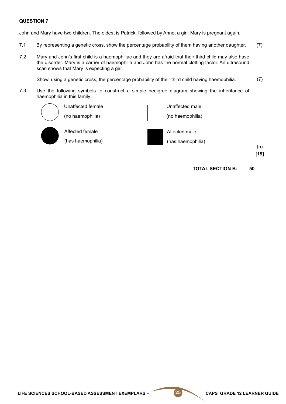John and Mary have two children. The oldest is Patrick, followed by Anne, a girl. Mary is pregnant again.

- 7.1 By representing a genetic cross, show the percentage probability of them having another daughter. (7)
- 7.2 Mary and John's first child is a haemophiliac and they are afraid that their third child may also have the disorder. Mary is a carrier of haemophilia and John has the normal clotting factor. An ultrasound scan shows that Mary is expecting a girl.

Show, using a genetic cross, the percentage probability of their third child having haemophilia. (7)

7.3 Use the following symbols to construct a simple pedigree diagram showing the inheritance of haemophilia in this family:



(no haemophilia)

Unaffected female



Affected female (has haemophilia) Affected male

(has haemophilia)

(5)

**[19]**

**TOTAL SECTION B: 50**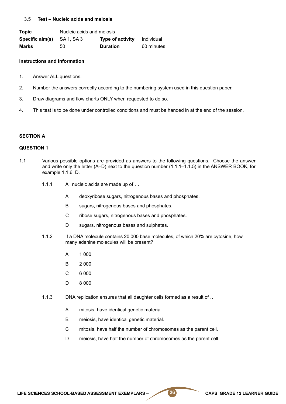#### 3.5 **Test – Nucleic acids and meiosis**

| <b>Topic</b>    | Nucleic acids and meiosis |                         |            |  |
|-----------------|---------------------------|-------------------------|------------|--|
| Specific aim(s) | - SA 1. SA 3              | <b>Type of activity</b> | Individual |  |
| Marks           | 50                        | <b>Duration</b>         | 60 minutes |  |

#### **Instructions and information**

- 1. Answer ALL questions.
- 2. Number the answers correctly according to the numbering system used in this question paper.
- 3. Draw diagrams and flow charts ONLY when requested to do so.
- 4. This test is to be done under controlled conditions and must be handed in at the end of the session.

#### **SECTION A**

#### **QUESTION 1**

- 1.1 Various possible options are provided as answers to the following questions. Choose the answer and write only the letter (A–D) next to the question number (1.1.1–1.1.5) in the ANSWER BOOK, for example 1.1.6 D.
	- 1.1.1 All nucleic acids are made up of …
		- A deoxyribose sugars, nitrogenous bases and phosphates.
		- B sugars, nitrogenous bases and phosphates.
		- C ribose sugars, nitrogenous bases and phosphates.
		- D sugars, nitrogenous bases and sulphates.
	- 1.1.2 If a DNA molecule contains 20 000 base molecules, of which 20% are cytosine, how many adenine molecules will be present?
		- A 1 000
		- B 2 000
		- $\mathcal{C}$ 6 000
		- D 8 000
	- 1.1.3 DNA replication ensures that all daughter cells formed as a result of …
		- A mitosis, have identical genetic material.
		- B meiosis, have identical genetic material.
		- C mitosis, have half the number of chromosomes as the parent cell.
		- D meiosis, have half the number of chromosomes as the parent cell.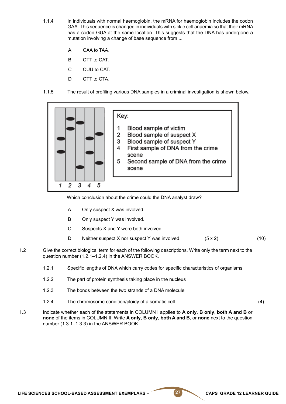- 1.1.4 In individuals with normal haemoglobin, the mRNA for haemoglobin includes the codon GAA. This sequence is changed in individuals with sickle cell anaemia so that their mRNA has a codon GUA at the same location. This suggests that the DNA has undergone a mutation involving a change of base sequence from ...
	- A CAA to TAA.
	- B CTT to CAT.
	- C CUU to CAT.
	- D CTT to CTA.
- 1.1.5 The result of profiling various DNA samples in a criminal investigation is shown below.



Which conclusion about the crime could the DNA analyst draw?

- A Only suspect X was involved.
- B Only suspect Y was involved.
- C Suspects X and Y were both involved.
- D Neither suspect X nor suspect Y was involved.(5 x 2) (10)
- 1.2 Give the correct biological term for each of the following descriptions. Write only the term next to the question number (1.2.1–1.2.4) in the ANSWER BOOK.
	- 1.2.1 Specific lengths of DNA which carry codes for specific characteristics of organisms
	- 1.2.2 The part of protein synthesis taking place in the nucleus
	- 1.2.3 The bonds between the two strands of a DNA molecule
	- 1.2.4 The chromosome condition/ploidy of a somatic cell (4)
- 1.3 Indicate whether each of the statements in COLUMN I applies to **A only**, **B only**, **both A and B** or **none** of the items in COLUMN II. Write **A only**, **B only**, **both A and B**, or **none** next to the question number (1.3.1–1.3.3) in the ANSWER BOOK.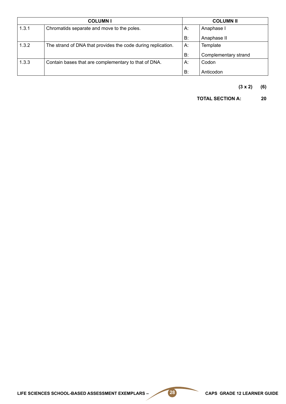| <b>COLUMNI</b> |                                                              | <b>COLUMN II</b> |                      |  |
|----------------|--------------------------------------------------------------|------------------|----------------------|--|
| 1.3.1          | Chromatids separate and move to the poles.                   | А.               | Anaphase I           |  |
|                |                                                              | B:               | Anaphase II          |  |
| 1.3.2          | The strand of DNA that provides the code during replication. | А.               | Template             |  |
|                |                                                              | B:               | Complementary strand |  |
| 1.3.3          | Contain bases that are complementary to that of DNA.         | А.               | Codon                |  |
|                |                                                              | B:               | Anticodon            |  |

**(3 x 2) (6)**

**TOTAL SECTION A: 20**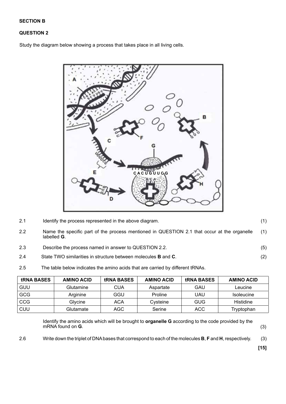#### **SECTION B**

#### **QUESTION 2**

Study the diagram below showing a process that takes place in all living cells.



2.1 Identify the process represented in the above diagram.

2.2 Name the specific part of the process mentioned in QUESTION 2.1 that occur at the organelle labelled **G**. (1)

- 2.3 Describe the process named in answer to QUESTION 2.2.
- 2.4 State TWO similarities in structure between molecules **B** and **C**.
- 2.5 The table below indicates the amino acids that are carried by different tRNAs.

| <b>tRNA BASES</b> | <b>AMINO ACID</b> | <b>tRNA BASES</b> | <b>AMINO ACID</b> | <b>tRNA BASES</b> | <b>AMINO ACID</b> |
|-------------------|-------------------|-------------------|-------------------|-------------------|-------------------|
| GUU               | Glutamine         | CUA               | Aspartate         | GAU               | Leucine           |
| GCG               | Arginine          | GGU               | Proline           | UAU               | <b>Isoleucine</b> |
| CCG               | Glycine           | <b>ACA</b>        | Cysteine          | <b>GUG</b>        | Histidine         |
| CUU               | Glutamate         | AGC               | Serine            | ACC               | Tryptophan        |

Identify the amino acids which will be brought to **organelle G** according to the code provided by the mRNA found on **G**. (3)

2.6 Write down the triplet of DNA bases that correspond to each of the molecules **B**, **F** and **H**, respectively. (3)

 **[15]**

(1)

(5)

(2)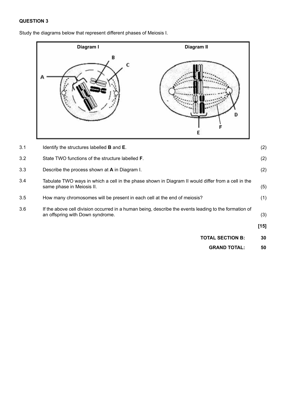3.1

3.2

3.3

3.4

3.5

3.6

Study the diagrams below that represent different phases of Meiosis I.



**[15]**

(2)

(2)

(2)

(5)

(1)

(3)

**TOTAL SECTION B: 30**

> **GRAND TOTAL: 50**